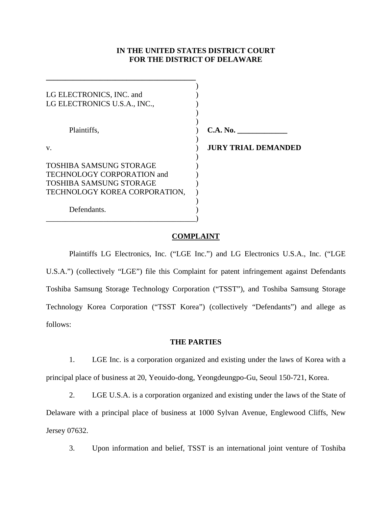# **IN THE UNITED STATES DISTRICT COURT FOR THE DISTRICT OF DELAWARE**

| LG ELECTRONICS, INC. and<br>LG ELECTRONICS U.S.A., INC.,                                                                        |                            |
|---------------------------------------------------------------------------------------------------------------------------------|----------------------------|
| Plaintiffs,                                                                                                                     | C.A. No.                   |
| V.                                                                                                                              | <b>JURY TRIAL DEMANDED</b> |
| <b>TOSHIBA SAMSUNG STORAGE</b><br>TECHNOLOGY CORPORATION and<br><b>TOSHIBA SAMSUNG STORAGE</b><br>TECHNOLOGY KOREA CORPORATION, |                            |
| Defendants.                                                                                                                     |                            |

**\_\_\_\_\_\_\_\_\_\_\_\_\_\_\_\_\_\_\_\_\_\_\_\_\_\_\_\_\_\_\_\_\_\_\_\_\_\_\_** 

### **COMPLAINT**

 Plaintiffs LG Electronics, Inc. ("LGE Inc.") and LG Electronics U.S.A., Inc. ("LGE U.S.A.") (collectively "LGE") file this Complaint for patent infringement against Defendants Toshiba Samsung Storage Technology Corporation ("TSST"), and Toshiba Samsung Storage Technology Korea Corporation ("TSST Korea") (collectively "Defendants") and allege as follows:

### **THE PARTIES**

1. LGE Inc. is a corporation organized and existing under the laws of Korea with a principal place of business at 20, Yeouido-dong, Yeongdeungpo-Gu, Seoul 150-721, Korea.

2. LGE U.S.A. is a corporation organized and existing under the laws of the State of Delaware with a principal place of business at 1000 Sylvan Avenue, Englewood Cliffs, New Jersey 07632.

3. Upon information and belief, TSST is an international joint venture of Toshiba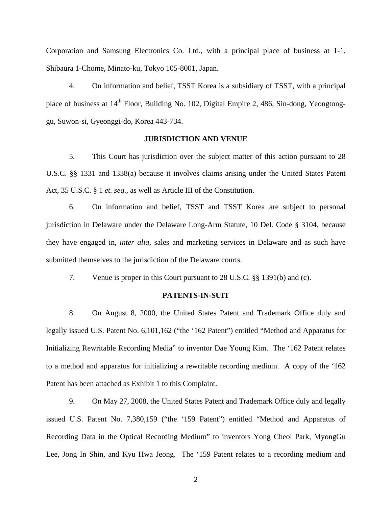Corporation and Samsung Electronics Co. Ltd., with a principal place of business at 1-1, Shibaura 1-Chome, Minato-ku, Tokyo 105-8001, Japan.

4. On information and belief, TSST Korea is a subsidiary of TSST, with a principal place of business at 14<sup>th</sup> Floor, Building No. 102, Digital Empire 2, 486, Sin-dong, Yeongtonggu, Suwon-si, Gyeonggi-do, Korea 443-734.

### **JURISDICTION AND VENUE**

5. This Court has jurisdiction over the subject matter of this action pursuant to 28 U.S.C. §§ 1331 and 1338(a) because it involves claims arising under the United States Patent Act, 35 U.S.C. § 1 *et. seq*.*,* as well as Article III of the Constitution.

6. On information and belief, TSST and TSST Korea are subject to personal jurisdiction in Delaware under the Delaware Long-Arm Statute, 10 Del. Code § 3104, because they have engaged in, *inter alia*, sales and marketing services in Delaware and as such have submitted themselves to the jurisdiction of the Delaware courts.

7. Venue is proper in this Court pursuant to 28 U.S.C. §§ 1391(b) and (c).

#### **PATENTS-IN-SUIT**

8. On August 8, 2000, the United States Patent and Trademark Office duly and legally issued U.S. Patent No. 6,101,162 ("the '162 Patent") entitled "Method and Apparatus for Initializing Rewritable Recording Media" to inventor Dae Young Kim. The '162 Patent relates to a method and apparatus for initializing a rewritable recording medium. A copy of the '162 Patent has been attached as Exhibit 1 to this Complaint.

9. On May 27, 2008, the United States Patent and Trademark Office duly and legally issued U.S. Patent No. 7,380,159 ("the '159 Patent") entitled "Method and Apparatus of Recording Data in the Optical Recording Medium" to inventors Yong Cheol Park, MyongGu Lee, Jong In Shin, and Kyu Hwa Jeong. The '159 Patent relates to a recording medium and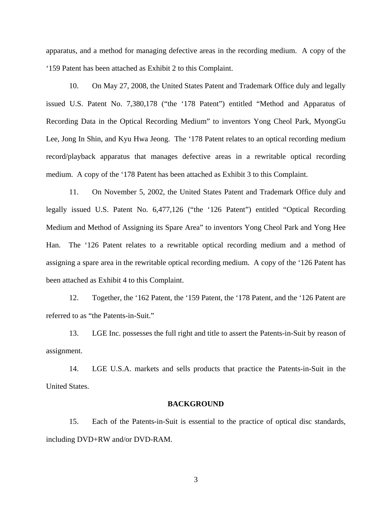apparatus, and a method for managing defective areas in the recording medium. A copy of the '159 Patent has been attached as Exhibit 2 to this Complaint.

10. On May 27, 2008, the United States Patent and Trademark Office duly and legally issued U.S. Patent No. 7,380,178 ("the '178 Patent") entitled "Method and Apparatus of Recording Data in the Optical Recording Medium" to inventors Yong Cheol Park, MyongGu Lee, Jong In Shin, and Kyu Hwa Jeong. The '178 Patent relates to an optical recording medium record/playback apparatus that manages defective areas in a rewritable optical recording medium. A copy of the '178 Patent has been attached as Exhibit 3 to this Complaint.

11. On November 5, 2002, the United States Patent and Trademark Office duly and legally issued U.S. Patent No. 6,477,126 ("the '126 Patent") entitled "Optical Recording Medium and Method of Assigning its Spare Area" to inventors Yong Cheol Park and Yong Hee Han. The '126 Patent relates to a rewritable optical recording medium and a method of assigning a spare area in the rewritable optical recording medium. A copy of the '126 Patent has been attached as Exhibit 4 to this Complaint.

12. Together, the '162 Patent, the '159 Patent, the '178 Patent, and the '126 Patent are referred to as "the Patents-in-Suit."

13. LGE Inc. possesses the full right and title to assert the Patents-in-Suit by reason of assignment.

14. LGE U.S.A. markets and sells products that practice the Patents-in-Suit in the United States.

#### **BACKGROUND**

15. Each of the Patents-in-Suit is essential to the practice of optical disc standards, including DVD+RW and/or DVD-RAM.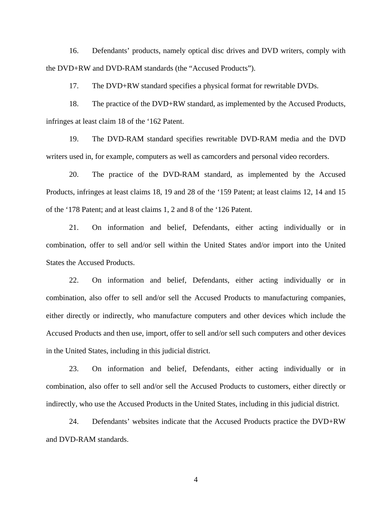16. Defendants' products, namely optical disc drives and DVD writers, comply with the DVD+RW and DVD-RAM standards (the "Accused Products").

17. The DVD+RW standard specifies a physical format for rewritable DVDs.

18. The practice of the DVD+RW standard, as implemented by the Accused Products, infringes at least claim 18 of the '162 Patent.

19. The DVD-RAM standard specifies rewritable DVD-RAM media and the DVD writers used in, for example, computers as well as camcorders and personal video recorders.

20. The practice of the DVD-RAM standard, as implemented by the Accused Products, infringes at least claims 18, 19 and 28 of the '159 Patent; at least claims 12, 14 and 15 of the '178 Patent; and at least claims 1, 2 and 8 of the '126 Patent.

21. On information and belief, Defendants, either acting individually or in combination, offer to sell and/or sell within the United States and/or import into the United States the Accused Products.

22. On information and belief, Defendants, either acting individually or in combination, also offer to sell and/or sell the Accused Products to manufacturing companies, either directly or indirectly, who manufacture computers and other devices which include the Accused Products and then use, import, offer to sell and/or sell such computers and other devices in the United States, including in this judicial district.

23. On information and belief, Defendants, either acting individually or in combination, also offer to sell and/or sell the Accused Products to customers, either directly or indirectly, who use the Accused Products in the United States, including in this judicial district.

24. Defendants' websites indicate that the Accused Products practice the DVD+RW and DVD-RAM standards.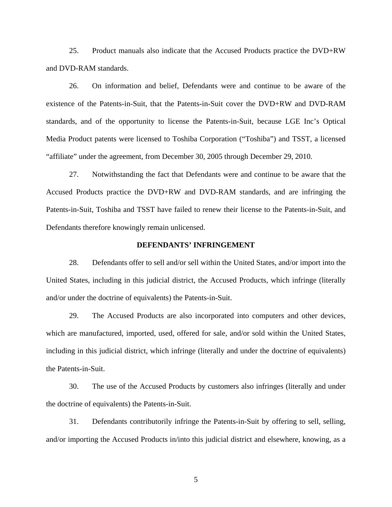25. Product manuals also indicate that the Accused Products practice the DVD+RW and DVD-RAM standards.

26. On information and belief, Defendants were and continue to be aware of the existence of the Patents-in-Suit, that the Patents-in-Suit cover the DVD+RW and DVD-RAM standards, and of the opportunity to license the Patents-in-Suit, because LGE Inc's Optical Media Product patents were licensed to Toshiba Corporation ("Toshiba") and TSST, a licensed "affiliate" under the agreement, from December 30, 2005 through December 29, 2010.

27. Notwithstanding the fact that Defendants were and continue to be aware that the Accused Products practice the DVD+RW and DVD-RAM standards, and are infringing the Patents-in-Suit, Toshiba and TSST have failed to renew their license to the Patents-in-Suit, and Defendants therefore knowingly remain unlicensed.

### **DEFENDANTS' INFRINGEMENT**

28. Defendants offer to sell and/or sell within the United States, and/or import into the United States, including in this judicial district, the Accused Products, which infringe (literally and/or under the doctrine of equivalents) the Patents-in-Suit.

29. The Accused Products are also incorporated into computers and other devices, which are manufactured, imported, used, offered for sale, and/or sold within the United States, including in this judicial district, which infringe (literally and under the doctrine of equivalents) the Patents-in-Suit.

30. The use of the Accused Products by customers also infringes (literally and under the doctrine of equivalents) the Patents-in-Suit.

31. Defendants contributorily infringe the Patents-in-Suit by offering to sell, selling, and/or importing the Accused Products in/into this judicial district and elsewhere, knowing, as a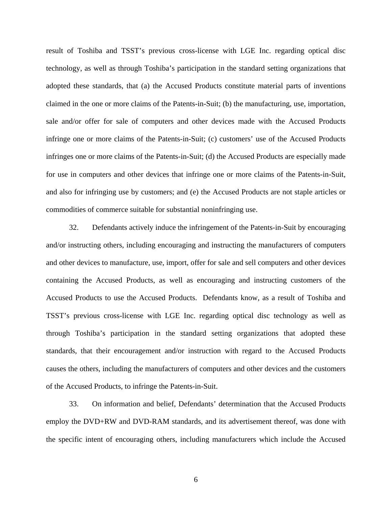result of Toshiba and TSST's previous cross-license with LGE Inc. regarding optical disc technology, as well as through Toshiba's participation in the standard setting organizations that adopted these standards, that (a) the Accused Products constitute material parts of inventions claimed in the one or more claims of the Patents-in-Suit; (b) the manufacturing, use, importation, sale and/or offer for sale of computers and other devices made with the Accused Products infringe one or more claims of the Patents-in-Suit; (c) customers' use of the Accused Products infringes one or more claims of the Patents-in-Suit; (d) the Accused Products are especially made for use in computers and other devices that infringe one or more claims of the Patents-in-Suit, and also for infringing use by customers; and (e) the Accused Products are not staple articles or commodities of commerce suitable for substantial noninfringing use.

32. Defendants actively induce the infringement of the Patents-in-Suit by encouraging and/or instructing others, including encouraging and instructing the manufacturers of computers and other devices to manufacture, use, import, offer for sale and sell computers and other devices containing the Accused Products, as well as encouraging and instructing customers of the Accused Products to use the Accused Products. Defendants know, as a result of Toshiba and TSST's previous cross-license with LGE Inc. regarding optical disc technology as well as through Toshiba's participation in the standard setting organizations that adopted these standards, that their encouragement and/or instruction with regard to the Accused Products causes the others, including the manufacturers of computers and other devices and the customers of the Accused Products, to infringe the Patents-in-Suit.

33. On information and belief, Defendants' determination that the Accused Products employ the DVD+RW and DVD-RAM standards, and its advertisement thereof, was done with the specific intent of encouraging others, including manufacturers which include the Accused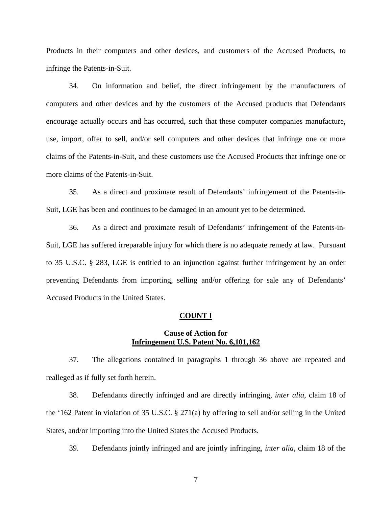Products in their computers and other devices, and customers of the Accused Products, to infringe the Patents-in-Suit.

34. On information and belief, the direct infringement by the manufacturers of computers and other devices and by the customers of the Accused products that Defendants encourage actually occurs and has occurred, such that these computer companies manufacture, use, import, offer to sell, and/or sell computers and other devices that infringe one or more claims of the Patents-in-Suit, and these customers use the Accused Products that infringe one or more claims of the Patents-in-Suit.

35. As a direct and proximate result of Defendants' infringement of the Patents-in-Suit, LGE has been and continues to be damaged in an amount yet to be determined.

36. As a direct and proximate result of Defendants' infringement of the Patents-in-Suit, LGE has suffered irreparable injury for which there is no adequate remedy at law. Pursuant to 35 U.S.C. § 283, LGE is entitled to an injunction against further infringement by an order preventing Defendants from importing, selling and/or offering for sale any of Defendants' Accused Products in the United States.

#### **COUNT I**

## **Cause of Action for Infringement U.S. Patent No. 6,101,162**

37. The allegations contained in paragraphs 1 through 36 above are repeated and realleged as if fully set forth herein.

38. Defendants directly infringed and are directly infringing, *inter alia*, claim 18 of the '162 Patent in violation of 35 U.S.C. § 271(a) by offering to sell and/or selling in the United States, and/or importing into the United States the Accused Products.

39. Defendants jointly infringed and are jointly infringing, *inter alia*, claim 18 of the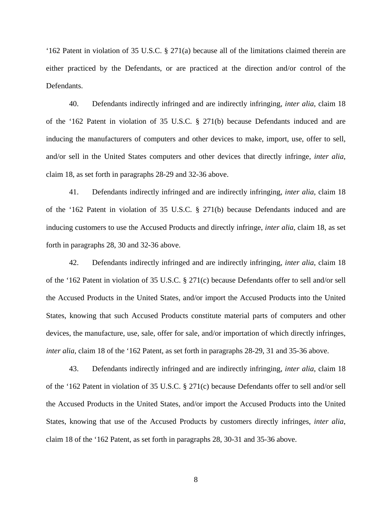'162 Patent in violation of 35 U.S.C. § 271(a) because all of the limitations claimed therein are either practiced by the Defendants, or are practiced at the direction and/or control of the Defendants.

40. Defendants indirectly infringed and are indirectly infringing, *inter alia*, claim 18 of the '162 Patent in violation of 35 U.S.C. § 271(b) because Defendants induced and are inducing the manufacturers of computers and other devices to make, import, use, offer to sell, and/or sell in the United States computers and other devices that directly infringe, *inter alia*, claim 18, as set forth in paragraphs 28-29 and 32-36 above.

41. Defendants indirectly infringed and are indirectly infringing, *inter alia*, claim 18 of the '162 Patent in violation of 35 U.S.C. § 271(b) because Defendants induced and are inducing customers to use the Accused Products and directly infringe, *inter alia*, claim 18, as set forth in paragraphs 28, 30 and 32-36 above.

42. Defendants indirectly infringed and are indirectly infringing, *inter alia*, claim 18 of the '162 Patent in violation of 35 U.S.C. § 271(c) because Defendants offer to sell and/or sell the Accused Products in the United States, and/or import the Accused Products into the United States, knowing that such Accused Products constitute material parts of computers and other devices, the manufacture, use, sale, offer for sale, and/or importation of which directly infringes, *inter alia*, claim 18 of the '162 Patent, as set forth in paragraphs 28-29, 31 and 35-36 above.

43. Defendants indirectly infringed and are indirectly infringing, *inter alia*, claim 18 of the '162 Patent in violation of 35 U.S.C. § 271(c) because Defendants offer to sell and/or sell the Accused Products in the United States, and/or import the Accused Products into the United States, knowing that use of the Accused Products by customers directly infringes, *inter alia*, claim 18 of the '162 Patent, as set forth in paragraphs 28, 30-31 and 35-36 above.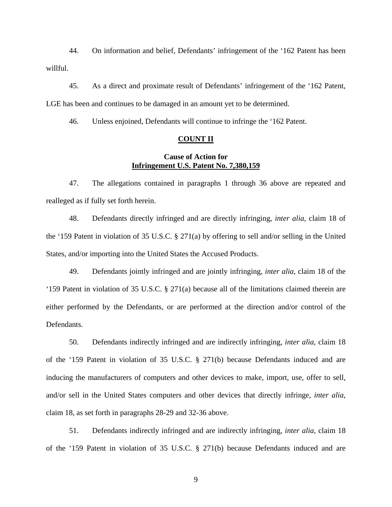44. On information and belief, Defendants' infringement of the '162 Patent has been willful.

45. As a direct and proximate result of Defendants' infringement of the '162 Patent, LGE has been and continues to be damaged in an amount yet to be determined.

46. Unless enjoined, Defendants will continue to infringe the '162 Patent.

### **COUNT II**

# **Cause of Action for Infringement U.S. Patent No. 7,380,159**

47. The allegations contained in paragraphs 1 through 36 above are repeated and realleged as if fully set forth herein.

48. Defendants directly infringed and are directly infringing, *inter alia*, claim 18 of the '159 Patent in violation of 35 U.S.C. § 271(a) by offering to sell and/or selling in the United States, and/or importing into the United States the Accused Products.

49. Defendants jointly infringed and are jointly infringing, *inter alia*, claim 18 of the '159 Patent in violation of 35 U.S.C. § 271(a) because all of the limitations claimed therein are either performed by the Defendants, or are performed at the direction and/or control of the Defendants.

50. Defendants indirectly infringed and are indirectly infringing, *inter alia*, claim 18 of the '159 Patent in violation of 35 U.S.C. § 271(b) because Defendants induced and are inducing the manufacturers of computers and other devices to make, import, use, offer to sell, and/or sell in the United States computers and other devices that directly infringe, *inter alia*, claim 18, as set forth in paragraphs 28-29 and 32-36 above.

51. Defendants indirectly infringed and are indirectly infringing, *inter alia*, claim 18 of the '159 Patent in violation of 35 U.S.C. § 271(b) because Defendants induced and are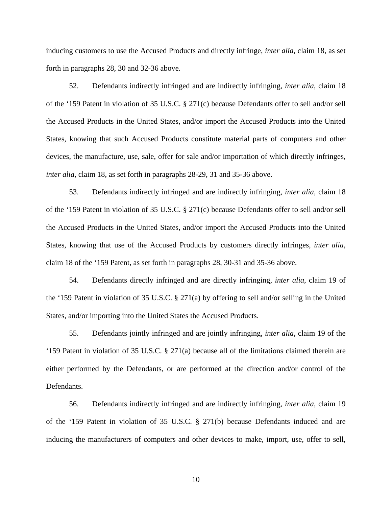inducing customers to use the Accused Products and directly infringe, *inter alia*, claim 18, as set forth in paragraphs 28, 30 and 32-36 above.

52. Defendants indirectly infringed and are indirectly infringing, *inter alia*, claim 18 of the '159 Patent in violation of 35 U.S.C. § 271(c) because Defendants offer to sell and/or sell the Accused Products in the United States, and/or import the Accused Products into the United States, knowing that such Accused Products constitute material parts of computers and other devices, the manufacture, use, sale, offer for sale and/or importation of which directly infringes, *inter alia*, claim 18, as set forth in paragraphs 28-29, 31 and 35-36 above.

53. Defendants indirectly infringed and are indirectly infringing, *inter alia*, claim 18 of the '159 Patent in violation of 35 U.S.C. § 271(c) because Defendants offer to sell and/or sell the Accused Products in the United States, and/or import the Accused Products into the United States, knowing that use of the Accused Products by customers directly infringes, *inter alia*, claim 18 of the '159 Patent, as set forth in paragraphs 28, 30-31 and 35-36 above.

54. Defendants directly infringed and are directly infringing, *inter alia*, claim 19 of the '159 Patent in violation of 35 U.S.C. § 271(a) by offering to sell and/or selling in the United States, and/or importing into the United States the Accused Products.

55. Defendants jointly infringed and are jointly infringing, *inter alia*, claim 19 of the '159 Patent in violation of 35 U.S.C. § 271(a) because all of the limitations claimed therein are either performed by the Defendants, or are performed at the direction and/or control of the Defendants.

56. Defendants indirectly infringed and are indirectly infringing, *inter alia*, claim 19 of the '159 Patent in violation of 35 U.S.C. § 271(b) because Defendants induced and are inducing the manufacturers of computers and other devices to make, import, use, offer to sell,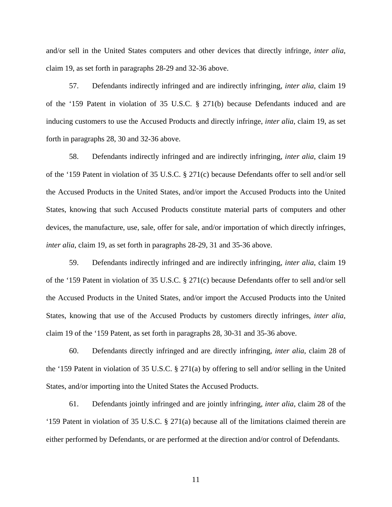and/or sell in the United States computers and other devices that directly infringe, *inter alia*, claim 19, as set forth in paragraphs 28-29 and 32-36 above.

57. Defendants indirectly infringed and are indirectly infringing, *inter alia*, claim 19 of the '159 Patent in violation of 35 U.S.C. § 271(b) because Defendants induced and are inducing customers to use the Accused Products and directly infringe, *inter alia*, claim 19, as set forth in paragraphs 28, 30 and 32-36 above.

58. Defendants indirectly infringed and are indirectly infringing, *inter alia*, claim 19 of the '159 Patent in violation of 35 U.S.C. § 271(c) because Defendants offer to sell and/or sell the Accused Products in the United States, and/or import the Accused Products into the United States, knowing that such Accused Products constitute material parts of computers and other devices, the manufacture, use, sale, offer for sale, and/or importation of which directly infringes, *inter alia*, claim 19, as set forth in paragraphs 28-29, 31 and 35-36 above.

59. Defendants indirectly infringed and are indirectly infringing, *inter alia*, claim 19 of the '159 Patent in violation of 35 U.S.C. § 271(c) because Defendants offer to sell and/or sell the Accused Products in the United States, and/or import the Accused Products into the United States, knowing that use of the Accused Products by customers directly infringes, *inter alia*, claim 19 of the '159 Patent, as set forth in paragraphs 28, 30-31 and 35-36 above.

60. Defendants directly infringed and are directly infringing, *inter alia*, claim 28 of the '159 Patent in violation of 35 U.S.C. § 271(a) by offering to sell and/or selling in the United States, and/or importing into the United States the Accused Products.

61. Defendants jointly infringed and are jointly infringing, *inter alia*, claim 28 of the '159 Patent in violation of 35 U.S.C. § 271(a) because all of the limitations claimed therein are either performed by Defendants, or are performed at the direction and/or control of Defendants.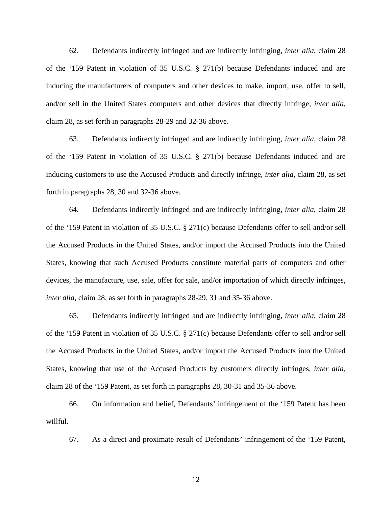62. Defendants indirectly infringed and are indirectly infringing, *inter alia*, claim 28 of the '159 Patent in violation of 35 U.S.C. § 271(b) because Defendants induced and are inducing the manufacturers of computers and other devices to make, import, use, offer to sell, and/or sell in the United States computers and other devices that directly infringe, *inter alia*, claim 28, as set forth in paragraphs 28-29 and 32-36 above.

63. Defendants indirectly infringed and are indirectly infringing, *inter alia*, claim 28 of the '159 Patent in violation of 35 U.S.C. § 271(b) because Defendants induced and are inducing customers to use the Accused Products and directly infringe, *inter alia*, claim 28, as set forth in paragraphs 28, 30 and 32-36 above.

64. Defendants indirectly infringed and are indirectly infringing, *inter alia*, claim 28 of the '159 Patent in violation of 35 U.S.C. § 271(c) because Defendants offer to sell and/or sell the Accused Products in the United States, and/or import the Accused Products into the United States, knowing that such Accused Products constitute material parts of computers and other devices, the manufacture, use, sale, offer for sale, and/or importation of which directly infringes, *inter alia*, claim 28, as set forth in paragraphs 28-29, 31 and 35-36 above.

65. Defendants indirectly infringed and are indirectly infringing, *inter alia*, claim 28 of the '159 Patent in violation of 35 U.S.C. § 271(c) because Defendants offer to sell and/or sell the Accused Products in the United States, and/or import the Accused Products into the United States, knowing that use of the Accused Products by customers directly infringes, *inter alia*, claim 28 of the '159 Patent, as set forth in paragraphs 28, 30-31 and 35-36 above.

66. On information and belief, Defendants' infringement of the '159 Patent has been willful.

67. As a direct and proximate result of Defendants' infringement of the '159 Patent,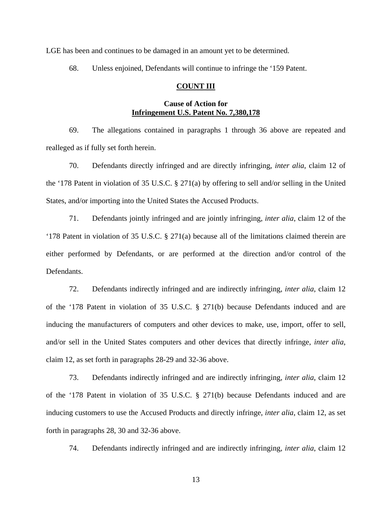LGE has been and continues to be damaged in an amount yet to be determined.

68. Unless enjoined, Defendants will continue to infringe the '159 Patent.

# **COUNT III**

# **Cause of Action for Infringement U.S. Patent No. 7,380,178**

69. The allegations contained in paragraphs 1 through 36 above are repeated and realleged as if fully set forth herein.

70. Defendants directly infringed and are directly infringing, *inter alia*, claim 12 of the '178 Patent in violation of 35 U.S.C. § 271(a) by offering to sell and/or selling in the United States, and/or importing into the United States the Accused Products.

71. Defendants jointly infringed and are jointly infringing, *inter alia*, claim 12 of the '178 Patent in violation of 35 U.S.C. § 271(a) because all of the limitations claimed therein are either performed by Defendants, or are performed at the direction and/or control of the Defendants.

72. Defendants indirectly infringed and are indirectly infringing, *inter alia*, claim 12 of the '178 Patent in violation of 35 U.S.C. § 271(b) because Defendants induced and are inducing the manufacturers of computers and other devices to make, use, import, offer to sell, and/or sell in the United States computers and other devices that directly infringe, *inter alia*, claim 12, as set forth in paragraphs 28-29 and 32-36 above.

73. Defendants indirectly infringed and are indirectly infringing, *inter alia*, claim 12 of the '178 Patent in violation of 35 U.S.C. § 271(b) because Defendants induced and are inducing customers to use the Accused Products and directly infringe, *inter alia*, claim 12, as set forth in paragraphs 28, 30 and 32-36 above.

74. Defendants indirectly infringed and are indirectly infringing, *inter alia*, claim 12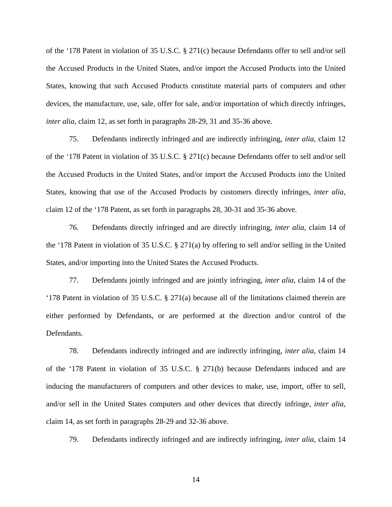of the '178 Patent in violation of 35 U.S.C. § 271(c) because Defendants offer to sell and/or sell the Accused Products in the United States, and/or import the Accused Products into the United States, knowing that such Accused Products constitute material parts of computers and other devices, the manufacture, use, sale, offer for sale, and/or importation of which directly infringes, *inter alia*, claim 12, as set forth in paragraphs 28-29, 31 and 35-36 above.

75. Defendants indirectly infringed and are indirectly infringing, *inter alia*, claim 12 of the '178 Patent in violation of 35 U.S.C. § 271(c) because Defendants offer to sell and/or sell the Accused Products in the United States, and/or import the Accused Products into the United States, knowing that use of the Accused Products by customers directly infringes, *inter alia*, claim 12 of the '178 Patent, as set forth in paragraphs 28, 30-31 and 35-36 above.

76. Defendants directly infringed and are directly infringing, *inter alia*, claim 14 of the '178 Patent in violation of 35 U.S.C. § 271(a) by offering to sell and/or selling in the United States, and/or importing into the United States the Accused Products.

77. Defendants jointly infringed and are jointly infringing, *inter alia*, claim 14 of the '178 Patent in violation of 35 U.S.C. § 271(a) because all of the limitations claimed therein are either performed by Defendants, or are performed at the direction and/or control of the Defendants.

78. Defendants indirectly infringed and are indirectly infringing, *inter alia*, claim 14 of the '178 Patent in violation of 35 U.S.C. § 271(b) because Defendants induced and are inducing the manufacturers of computers and other devices to make, use, import, offer to sell, and/or sell in the United States computers and other devices that directly infringe, *inter alia*, claim 14, as set forth in paragraphs 28-29 and 32-36 above.

79. Defendants indirectly infringed and are indirectly infringing, *inter alia*, claim 14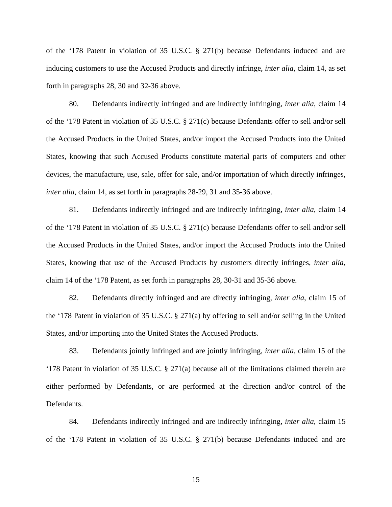of the '178 Patent in violation of 35 U.S.C. § 271(b) because Defendants induced and are inducing customers to use the Accused Products and directly infringe, *inter alia*, claim 14, as set forth in paragraphs 28, 30 and 32-36 above.

80. Defendants indirectly infringed and are indirectly infringing, *inter alia*, claim 14 of the '178 Patent in violation of 35 U.S.C. § 271(c) because Defendants offer to sell and/or sell the Accused Products in the United States, and/or import the Accused Products into the United States, knowing that such Accused Products constitute material parts of computers and other devices, the manufacture, use, sale, offer for sale, and/or importation of which directly infringes, *inter alia*, claim 14, as set forth in paragraphs 28-29, 31 and 35-36 above.

81. Defendants indirectly infringed and are indirectly infringing, *inter alia*, claim 14 of the '178 Patent in violation of 35 U.S.C. § 271(c) because Defendants offer to sell and/or sell the Accused Products in the United States, and/or import the Accused Products into the United States, knowing that use of the Accused Products by customers directly infringes, *inter alia*, claim 14 of the '178 Patent, as set forth in paragraphs 28, 30-31 and 35-36 above.

82. Defendants directly infringed and are directly infringing, *inter alia*, claim 15 of the '178 Patent in violation of 35 U.S.C. § 271(a) by offering to sell and/or selling in the United States, and/or importing into the United States the Accused Products.

83. Defendants jointly infringed and are jointly infringing, *inter alia*, claim 15 of the '178 Patent in violation of 35 U.S.C. § 271(a) because all of the limitations claimed therein are either performed by Defendants, or are performed at the direction and/or control of the Defendants.

84. Defendants indirectly infringed and are indirectly infringing, *inter alia*, claim 15 of the '178 Patent in violation of 35 U.S.C. § 271(b) because Defendants induced and are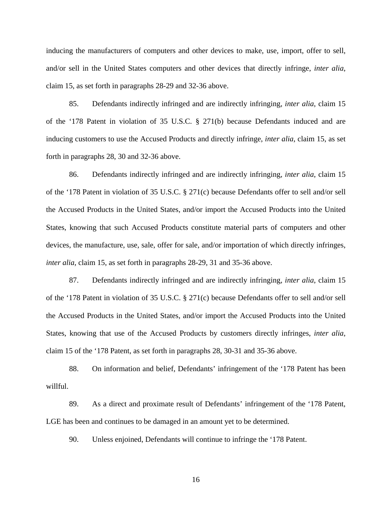inducing the manufacturers of computers and other devices to make, use, import, offer to sell, and/or sell in the United States computers and other devices that directly infringe, *inter alia*, claim 15, as set forth in paragraphs 28-29 and 32-36 above.

85. Defendants indirectly infringed and are indirectly infringing, *inter alia*, claim 15 of the '178 Patent in violation of 35 U.S.C. § 271(b) because Defendants induced and are inducing customers to use the Accused Products and directly infringe, *inter alia*, claim 15, as set forth in paragraphs 28, 30 and 32-36 above.

86. Defendants indirectly infringed and are indirectly infringing, *inter alia*, claim 15 of the '178 Patent in violation of 35 U.S.C. § 271(c) because Defendants offer to sell and/or sell the Accused Products in the United States, and/or import the Accused Products into the United States, knowing that such Accused Products constitute material parts of computers and other devices, the manufacture, use, sale, offer for sale, and/or importation of which directly infringes, *inter alia*, claim 15, as set forth in paragraphs 28-29, 31 and 35-36 above.

87. Defendants indirectly infringed and are indirectly infringing, *inter alia*, claim 15 of the '178 Patent in violation of 35 U.S.C. § 271(c) because Defendants offer to sell and/or sell the Accused Products in the United States, and/or import the Accused Products into the United States, knowing that use of the Accused Products by customers directly infringes, *inter alia*, claim 15 of the '178 Patent, as set forth in paragraphs 28, 30-31 and 35-36 above.

88. On information and belief, Defendants' infringement of the '178 Patent has been willful.

89. As a direct and proximate result of Defendants' infringement of the '178 Patent, LGE has been and continues to be damaged in an amount yet to be determined.

90. Unless enjoined, Defendants will continue to infringe the '178 Patent.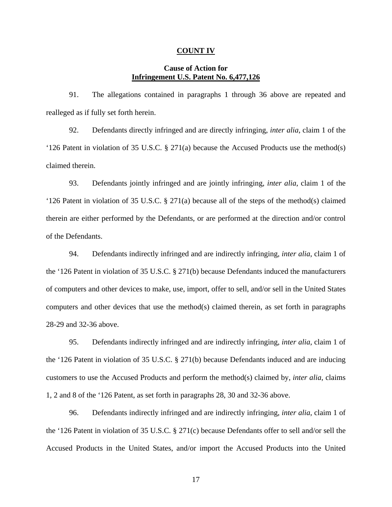#### **COUNT IV**

# **Cause of Action for Infringement U.S. Patent No. 6,477,126**

91. The allegations contained in paragraphs 1 through 36 above are repeated and realleged as if fully set forth herein.

92. Defendants directly infringed and are directly infringing, *inter alia*, claim 1 of the '126 Patent in violation of 35 U.S.C. § 271(a) because the Accused Products use the method(s) claimed therein.

93. Defendants jointly infringed and are jointly infringing, *inter alia*, claim 1 of the '126 Patent in violation of 35 U.S.C. § 271(a) because all of the steps of the method(s) claimed therein are either performed by the Defendants, or are performed at the direction and/or control of the Defendants.

94. Defendants indirectly infringed and are indirectly infringing, *inter alia*, claim 1 of the '126 Patent in violation of 35 U.S.C. § 271(b) because Defendants induced the manufacturers of computers and other devices to make, use, import, offer to sell, and/or sell in the United States computers and other devices that use the method(s) claimed therein, as set forth in paragraphs 28-29 and 32-36 above.

95. Defendants indirectly infringed and are indirectly infringing, *inter alia*, claim 1 of the '126 Patent in violation of 35 U.S.C. § 271(b) because Defendants induced and are inducing customers to use the Accused Products and perform the method(s) claimed by, *inter alia*, claims 1, 2 and 8 of the '126 Patent, as set forth in paragraphs 28, 30 and 32-36 above.

96. Defendants indirectly infringed and are indirectly infringing, *inter alia*, claim 1 of the '126 Patent in violation of 35 U.S.C. § 271(c) because Defendants offer to sell and/or sell the Accused Products in the United States, and/or import the Accused Products into the United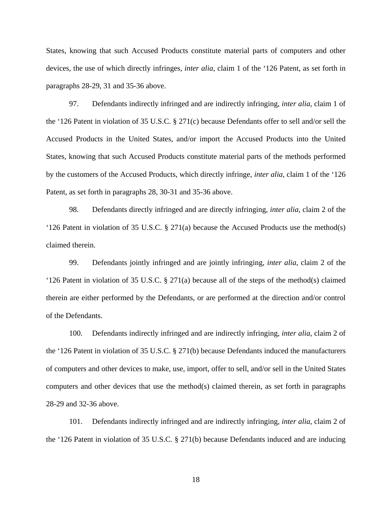States, knowing that such Accused Products constitute material parts of computers and other devices, the use of which directly infringes, *inter alia*, claim 1 of the '126 Patent, as set forth in paragraphs 28-29, 31 and 35-36 above.

97. Defendants indirectly infringed and are indirectly infringing, *inter alia*, claim 1 of the '126 Patent in violation of 35 U.S.C. § 271(c) because Defendants offer to sell and/or sell the Accused Products in the United States, and/or import the Accused Products into the United States, knowing that such Accused Products constitute material parts of the methods performed by the customers of the Accused Products, which directly infringe, *inter alia*, claim 1 of the '126 Patent, as set forth in paragraphs 28, 30-31 and 35-36 above.

98. Defendants directly infringed and are directly infringing, *inter alia*, claim 2 of the '126 Patent in violation of 35 U.S.C. § 271(a) because the Accused Products use the method(s) claimed therein.

99. Defendants jointly infringed and are jointly infringing, *inter alia*, claim 2 of the '126 Patent in violation of 35 U.S.C. § 271(a) because all of the steps of the method(s) claimed therein are either performed by the Defendants, or are performed at the direction and/or control of the Defendants.

100. Defendants indirectly infringed and are indirectly infringing, *inter alia*, claim 2 of the '126 Patent in violation of 35 U.S.C. § 271(b) because Defendants induced the manufacturers of computers and other devices to make, use, import, offer to sell, and/or sell in the United States computers and other devices that use the method(s) claimed therein, as set forth in paragraphs 28-29 and 32-36 above.

101. Defendants indirectly infringed and are indirectly infringing, *inter alia*, claim 2 of the '126 Patent in violation of 35 U.S.C. § 271(b) because Defendants induced and are inducing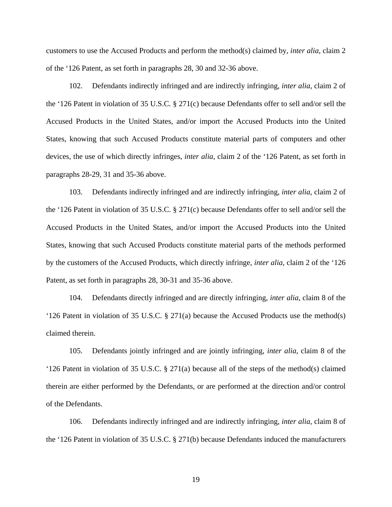customers to use the Accused Products and perform the method(s) claimed by, *inter alia*, claim 2 of the '126 Patent, as set forth in paragraphs 28, 30 and 32-36 above.

102. Defendants indirectly infringed and are indirectly infringing, *inter alia*, claim 2 of the '126 Patent in violation of 35 U.S.C. § 271(c) because Defendants offer to sell and/or sell the Accused Products in the United States, and/or import the Accused Products into the United States, knowing that such Accused Products constitute material parts of computers and other devices, the use of which directly infringes, *inter alia*, claim 2 of the '126 Patent, as set forth in paragraphs 28-29, 31 and 35-36 above.

103. Defendants indirectly infringed and are indirectly infringing, *inter alia*, claim 2 of the '126 Patent in violation of 35 U.S.C. § 271(c) because Defendants offer to sell and/or sell the Accused Products in the United States, and/or import the Accused Products into the United States, knowing that such Accused Products constitute material parts of the methods performed by the customers of the Accused Products, which directly infringe, *inter alia*, claim 2 of the '126 Patent, as set forth in paragraphs 28, 30-31 and 35-36 above.

104. Defendants directly infringed and are directly infringing, *inter alia*, claim 8 of the '126 Patent in violation of 35 U.S.C. § 271(a) because the Accused Products use the method(s) claimed therein.

105. Defendants jointly infringed and are jointly infringing, *inter alia*, claim 8 of the '126 Patent in violation of 35 U.S.C. § 271(a) because all of the steps of the method(s) claimed therein are either performed by the Defendants, or are performed at the direction and/or control of the Defendants.

106. Defendants indirectly infringed and are indirectly infringing, *inter alia*, claim 8 of the '126 Patent in violation of 35 U.S.C. § 271(b) because Defendants induced the manufacturers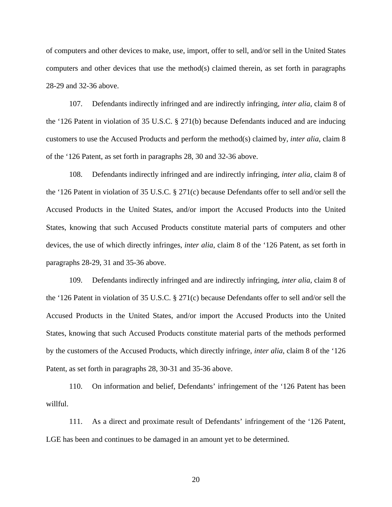of computers and other devices to make, use, import, offer to sell, and/or sell in the United States computers and other devices that use the method(s) claimed therein, as set forth in paragraphs 28-29 and 32-36 above.

107. Defendants indirectly infringed and are indirectly infringing, *inter alia*, claim 8 of the '126 Patent in violation of 35 U.S.C. § 271(b) because Defendants induced and are inducing customers to use the Accused Products and perform the method(s) claimed by, *inter alia*, claim 8 of the '126 Patent, as set forth in paragraphs 28, 30 and 32-36 above.

108. Defendants indirectly infringed and are indirectly infringing, *inter alia*, claim 8 of the '126 Patent in violation of 35 U.S.C. § 271(c) because Defendants offer to sell and/or sell the Accused Products in the United States, and/or import the Accused Products into the United States, knowing that such Accused Products constitute material parts of computers and other devices, the use of which directly infringes, *inter alia*, claim 8 of the '126 Patent, as set forth in paragraphs 28-29, 31 and 35-36 above.

109. Defendants indirectly infringed and are indirectly infringing, *inter alia*, claim 8 of the '126 Patent in violation of 35 U.S.C. § 271(c) because Defendants offer to sell and/or sell the Accused Products in the United States, and/or import the Accused Products into the United States, knowing that such Accused Products constitute material parts of the methods performed by the customers of the Accused Products, which directly infringe, *inter alia*, claim 8 of the '126 Patent, as set forth in paragraphs 28, 30-31 and 35-36 above.

110. On information and belief, Defendants' infringement of the '126 Patent has been willful.

111. As a direct and proximate result of Defendants' infringement of the '126 Patent, LGE has been and continues to be damaged in an amount yet to be determined.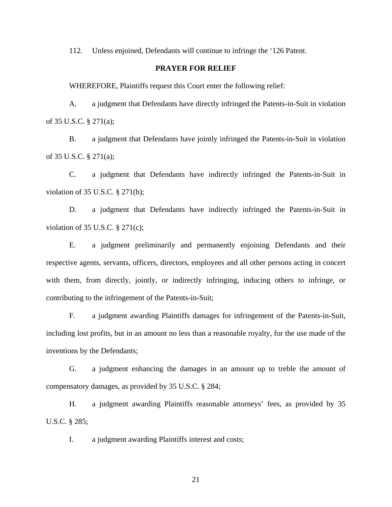112. Unless enjoined, Defendants will continue to infringe the '126 Patent.

# **PRAYER FOR RELIEF**

WHEREFORE, Plaintiffs request this Court enter the following relief:

A. a judgment that Defendants have directly infringed the Patents-in-Suit in violation of 35 U.S.C. § 271(a);

B. a judgment that Defendants have jointly infringed the Patents-in-Suit in violation of 35 U.S.C. § 271(a);

C. a judgment that Defendants have indirectly infringed the Patents-in-Suit in violation of 35 U.S.C. § 271(b);

D. a judgment that Defendants have indirectly infringed the Patents-in-Suit in violation of 35 U.S.C. § 271(c);

E. a judgment preliminarily and permanently enjoining Defendants and their respective agents, servants, officers, directors, employees and all other persons acting in concert with them, from directly, jointly, or indirectly infringing, inducing others to infringe, or contributing to the infringement of the Patents-in-Suit;

F. a judgment awarding Plaintiffs damages for infringement of the Patents-in-Suit, including lost profits, but in an amount no less than a reasonable royalty, for the use made of the inventions by the Defendants;

G. a judgment enhancing the damages in an amount up to treble the amount of compensatory damages, as provided by 35 U.S.C. § 284;

H. a judgment awarding Plaintiffs reasonable attorneys' fees, as provided by 35 U.S.C. § 285;

I. a judgment awarding Plaintiffs interest and costs;